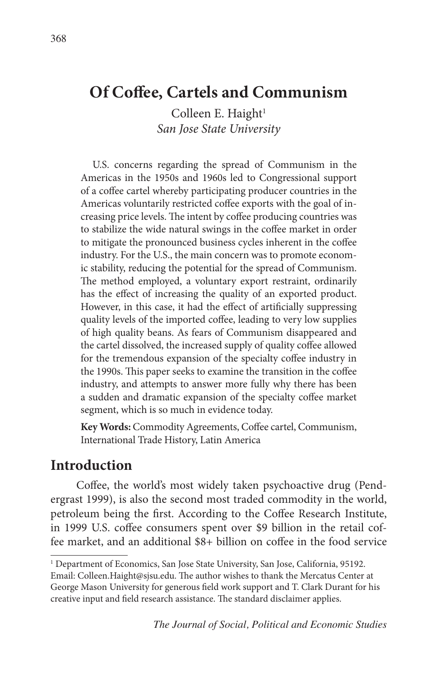Colleen E. Haight $1$ *San Jose State University*

U.S. concerns regarding the spread of Communism in the Americas in the 1950s and 1960s led to Congressional support of a coffee cartel whereby participating producer countries in the Americas voluntarily restricted coffee exports with the goal of increasing price levels. The intent by coffee producing countries was to stabilize the wide natural swings in the coffee market in order to mitigate the pronounced business cycles inherent in the coffee industry. For the U.S., the main concern was to promote economic stability, reducing the potential for the spread of Communism. The method employed, a voluntary export restraint, ordinarily has the effect of increasing the quality of an exported product. However, in this case, it had the effect of artificially suppressing quality levels of the imported coffee, leading to very low supplies of high quality beans. As fears of Communism disappeared and the cartel dissolved, the increased supply of quality coffee allowed for the tremendous expansion of the specialty coffee industry in the 1990s. This paper seeks to examine the transition in the coffee industry, and attempts to answer more fully why there has been a sudden and dramatic expansion of the specialty coffee market segment, which is so much in evidence today.

**Key Words:** Commodity Agreements, Coffee cartel, Communism, International Trade History, Latin America

## **Introduction**

Coffee, the world's most widely taken psychoactive drug (Pendergrast 1999), is also the second most traded commodity in the world, petroleum being the first. According to the Coffee Research Institute, in 1999 U.S. coffee consumers spent over \$9 billion in the retail coffee market, and an additional \$8+ billion on coffee in the food service

<sup>&</sup>lt;sup>1</sup> Department of Economics, San Jose State University, San Jose, California, 95192. Email: Colleen.Haight@sjsu.edu. The author wishes to thank the Mercatus Center at George Mason University for generous field work support and T. Clark Durant for his creative input and field research assistance. The standard disclaimer applies.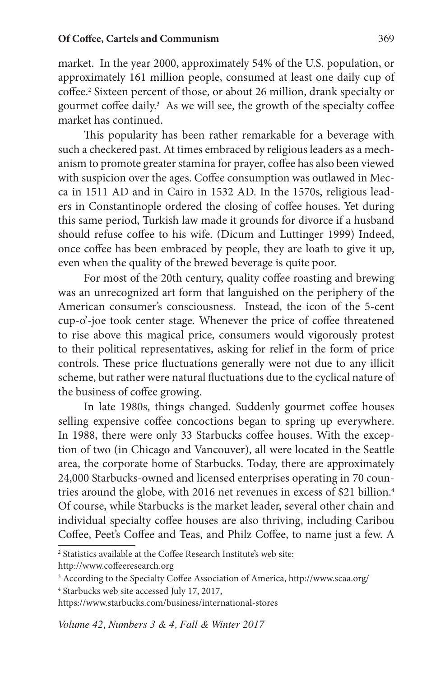market. In the year 2000, approximately 54% of the U.S. population, or approximately 161 million people, consumed at least one daily cup of coffee.2 Sixteen percent of those, or about 26 million, drank specialty or gourmet coffee daily.<sup>3</sup> As we will see, the growth of the specialty coffee market has continued.

This popularity has been rather remarkable for a beverage with such a checkered past. At times embraced by religious leaders as a mechanism to promote greater stamina for prayer, coffee has also been viewed with suspicion over the ages. Coffee consumption was outlawed in Mecca in 1511 AD and in Cairo in 1532 AD. In the 1570s, religious leaders in Constantinople ordered the closing of coffee houses. Yet during this same period, Turkish law made it grounds for divorce if a husband should refuse coffee to his wife. (Dicum and Luttinger 1999) Indeed, once coffee has been embraced by people, they are loath to give it up, even when the quality of the brewed beverage is quite poor.

For most of the 20th century, quality coffee roasting and brewing was an unrecognized art form that languished on the periphery of the American consumer's consciousness. Instead, the icon of the 5-cent cup-o'-joe took center stage. Whenever the price of coffee threatened to rise above this magical price, consumers would vigorously protest to their political representatives, asking for relief in the form of price controls. These price fluctuations generally were not due to any illicit scheme, but rather were natural fluctuations due to the cyclical nature of the business of coffee growing.

In late 1980s, things changed. Suddenly gourmet coffee houses selling expensive coffee concoctions began to spring up everywhere. In 1988, there were only 33 Starbucks coffee houses. With the exception of two (in Chicago and Vancouver), all were located in the Seattle area, the corporate home of Starbucks. Today, there are approximately 24,000 Starbucks-owned and licensed enterprises operating in 70 countries around the globe, with 2016 net revenues in excess of \$21 billion.<sup>4</sup> Of course, while Starbucks is the market leader, several other chain and individual specialty coffee houses are also thriving, including Caribou Coffee, Peet's Coffee and Teas, and Philz Coffee, to name just a few. A

<sup>2</sup> Statistics available at the Coffee Research Institute's web site:

http://www.coffeeresearch.org

<sup>3</sup> According to the Specialty Coffee Association of America, http://www.scaa.org/

<sup>4</sup> Starbucks web site accessed July 17, 2017,

https://www.starbucks.com/business/international-stores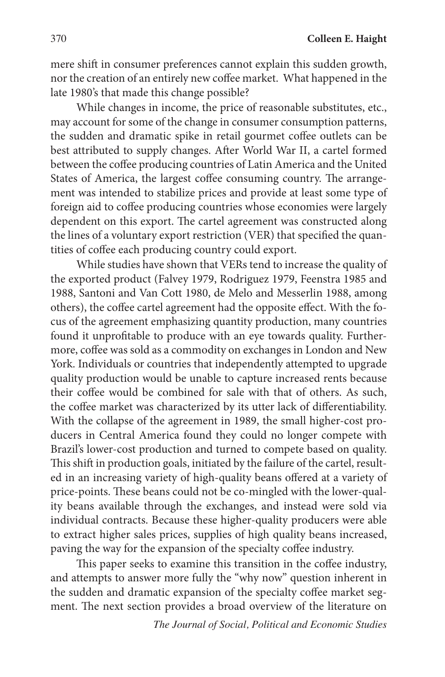mere shift in consumer preferences cannot explain this sudden growth, nor the creation of an entirely new coffee market. What happened in the late 1980's that made this change possible?

While changes in income, the price of reasonable substitutes, etc., may account for some of the change in consumer consumption patterns, the sudden and dramatic spike in retail gourmet coffee outlets can be best attributed to supply changes. After World War II, a cartel formed between the coffee producing countries of Latin America and the United States of America, the largest coffee consuming country. The arrangement was intended to stabilize prices and provide at least some type of foreign aid to coffee producing countries whose economies were largely dependent on this export. The cartel agreement was constructed along the lines of a voluntary export restriction (VER) that specified the quantities of coffee each producing country could export.

While studies have shown that VERs tend to increase the quality of the exported product (Falvey 1979, Rodriguez 1979, Feenstra 1985 and 1988, Santoni and Van Cott 1980, de Melo and Messerlin 1988, among others), the coffee cartel agreement had the opposite effect. With the focus of the agreement emphasizing quantity production, many countries found it unprofitable to produce with an eye towards quality. Furthermore, coffee was sold as a commodity on exchanges in London and New York. Individuals or countries that independently attempted to upgrade quality production would be unable to capture increased rents because their coffee would be combined for sale with that of others. As such, the coffee market was characterized by its utter lack of differentiability. With the collapse of the agreement in 1989, the small higher-cost producers in Central America found they could no longer compete with Brazil's lower-cost production and turned to compete based on quality. This shift in production goals, initiated by the failure of the cartel, resulted in an increasing variety of high-quality beans offered at a variety of price-points. These beans could not be co-mingled with the lower-quality beans available through the exchanges, and instead were sold via individual contracts. Because these higher-quality producers were able to extract higher sales prices, supplies of high quality beans increased, paving the way for the expansion of the specialty coffee industry.

This paper seeks to examine this transition in the coffee industry, and attempts to answer more fully the "why now" question inherent in the sudden and dramatic expansion of the specialty coffee market segment. The next section provides a broad overview of the literature on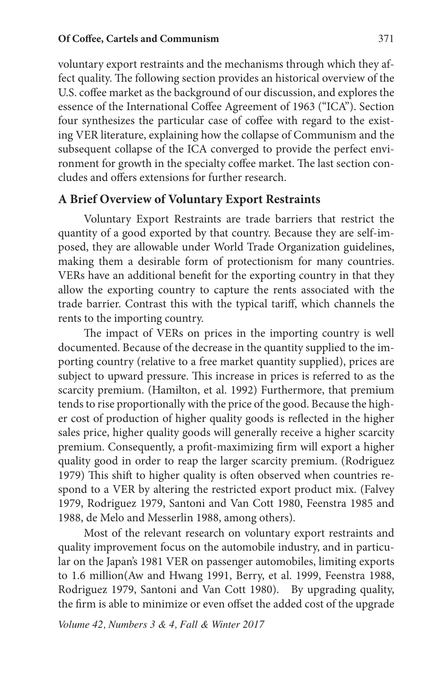voluntary export restraints and the mechanisms through which they affect quality. The following section provides an historical overview of the U.S. coffee market as the background of our discussion, and explores the essence of the International Coffee Agreement of 1963 ("ICA"). Section four synthesizes the particular case of coffee with regard to the existing VER literature, explaining how the collapse of Communism and the subsequent collapse of the ICA converged to provide the perfect environment for growth in the specialty coffee market. The last section concludes and offers extensions for further research.

### **A Brief Overview of Voluntary Export Restraints**

Voluntary Export Restraints are trade barriers that restrict the quantity of a good exported by that country. Because they are self-imposed, they are allowable under World Trade Organization guidelines, making them a desirable form of protectionism for many countries. VERs have an additional benefit for the exporting country in that they allow the exporting country to capture the rents associated with the trade barrier. Contrast this with the typical tariff, which channels the rents to the importing country.

The impact of VERs on prices in the importing country is well documented. Because of the decrease in the quantity supplied to the importing country (relative to a free market quantity supplied), prices are subject to upward pressure. This increase in prices is referred to as the scarcity premium. (Hamilton, et al. 1992) Furthermore, that premium tends to rise proportionally with the price of the good. Because the higher cost of production of higher quality goods is reflected in the higher sales price, higher quality goods will generally receive a higher scarcity premium. Consequently, a profit-maximizing firm will export a higher quality good in order to reap the larger scarcity premium. (Rodriguez 1979) This shift to higher quality is often observed when countries respond to a VER by altering the restricted export product mix. (Falvey 1979, Rodriguez 1979, Santoni and Van Cott 1980, Feenstra 1985 and 1988, de Melo and Messerlin 1988, among others).

Most of the relevant research on voluntary export restraints and quality improvement focus on the automobile industry, and in particular on the Japan's 1981 VER on passenger automobiles, limiting exports to 1.6 million(Aw and Hwang 1991, Berry, et al. 1999, Feenstra 1988, Rodriguez 1979, Santoni and Van Cott 1980). By upgrading quality, the firm is able to minimize or even offset the added cost of the upgrade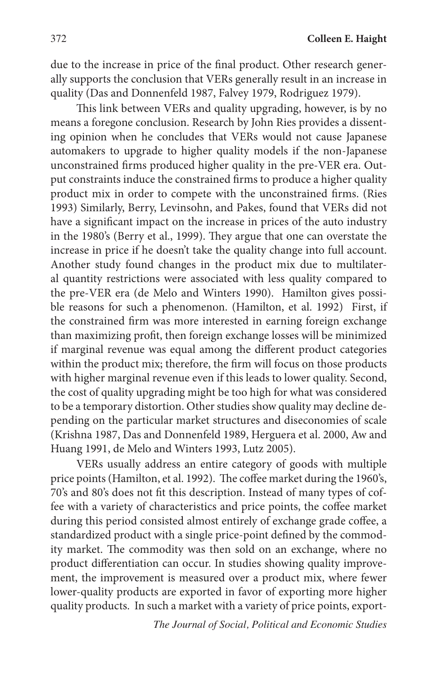due to the increase in price of the final product. Other research generally supports the conclusion that VERs generally result in an increase in quality (Das and Donnenfeld 1987, Falvey 1979, Rodriguez 1979).

This link between VERs and quality upgrading, however, is by no means a foregone conclusion. Research by John Ries provides a dissenting opinion when he concludes that VERs would not cause Japanese automakers to upgrade to higher quality models if the non-Japanese unconstrained firms produced higher quality in the pre-VER era. Output constraints induce the constrained firms to produce a higher quality product mix in order to compete with the unconstrained firms. (Ries 1993) Similarly, Berry, Levinsohn, and Pakes, found that VERs did not have a significant impact on the increase in prices of the auto industry in the 1980's (Berry et al., 1999). They argue that one can overstate the increase in price if he doesn't take the quality change into full account. Another study found changes in the product mix due to multilateral quantity restrictions were associated with less quality compared to the pre-VER era (de Melo and Winters 1990). Hamilton gives possible reasons for such a phenomenon. (Hamilton, et al. 1992) First, if the constrained firm was more interested in earning foreign exchange than maximizing profit, then foreign exchange losses will be minimized if marginal revenue was equal among the different product categories within the product mix; therefore, the firm will focus on those products with higher marginal revenue even if this leads to lower quality. Second, the cost of quality upgrading might be too high for what was considered to be a temporary distortion. Other studies show quality may decline depending on the particular market structures and diseconomies of scale (Krishna 1987, Das and Donnenfeld 1989, Herguera et al. 2000, Aw and Huang 1991, de Melo and Winters 1993, Lutz 2005).

VERs usually address an entire category of goods with multiple price points (Hamilton, et al. 1992). The coffee market during the 1960's, 70's and 80's does not fit this description. Instead of many types of coffee with a variety of characteristics and price points, the coffee market during this period consisted almost entirely of exchange grade coffee, a standardized product with a single price-point defined by the commodity market. The commodity was then sold on an exchange, where no product differentiation can occur. In studies showing quality improvement, the improvement is measured over a product mix, where fewer lower-quality products are exported in favor of exporting more higher quality products. In such a market with a variety of price points, export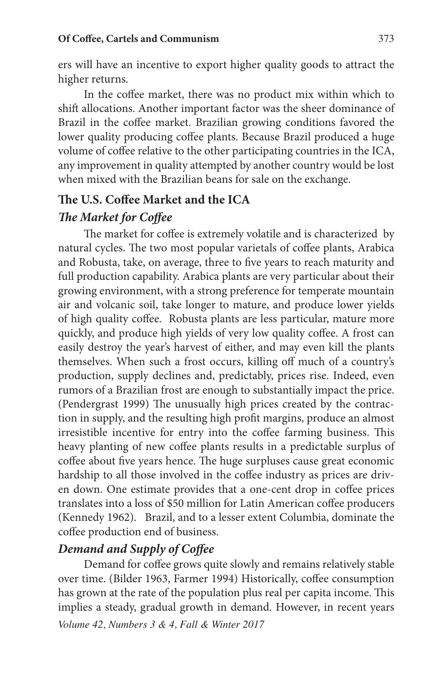ers will have an incentive to export higher quality goods to attract the higher returns.

In the coffee market, there was no product mix within which to shift allocations. Another important factor was the sheer dominance of Brazil in the coffee market. Brazilian growing conditions favored the lower quality producing coffee plants. Because Brazil produced a huge volume of coffee relative to the other participating countries in the ICA, any improvement in quality attempted by another country would be lost when mixed with the Brazilian beans for sale on the exchange.

### **The U.S. Coffee Market and the ICA**

### *The Market for Coffee*

The market for coffee is extremely volatile and is characterized by natural cycles. The two most popular varietals of coffee plants, Arabica and Robusta, take, on average, three to five years to reach maturity and full production capability. Arabica plants are very particular about their growing environment, with a strong preference for temperate mountain air and volcanic soil, take longer to mature, and produce lower yields of high quality coffee. Robusta plants are less particular, mature more quickly, and produce high yields of very low quality coffee. A frost can easily destroy the year's harvest of either, and may even kill the plants themselves. When such a frost occurs, killing off much of a country's production, supply declines and, predictably, prices rise. Indeed, even rumors of a Brazilian frost are enough to substantially impact the price. (Pendergrast 1999) The unusually high prices created by the contraction in supply, and the resulting high profit margins, produce an almost irresistible incentive for entry into the coffee farming business. This heavy planting of new coffee plants results in a predictable surplus of coffee about five years hence. The huge surpluses cause great economic hardship to all those involved in the coffee industry as prices are driven down. One estimate provides that a one-cent drop in coffee prices translates into a loss of \$50 million for Latin American coffee producers (Kennedy 1962). Brazil, and to a lesser extent Columbia, dominate the coffee production end of business.

## *Demand and Supply of Coffee*

*Volume 42, Numbers 3 & 4, Fall & Winter 2017* Demand for coffee grows quite slowly and remains relatively stable over time. (Bilder 1963, Farmer 1994) Historically, coffee consumption has grown at the rate of the population plus real per capita income. This implies a steady, gradual growth in demand. However, in recent years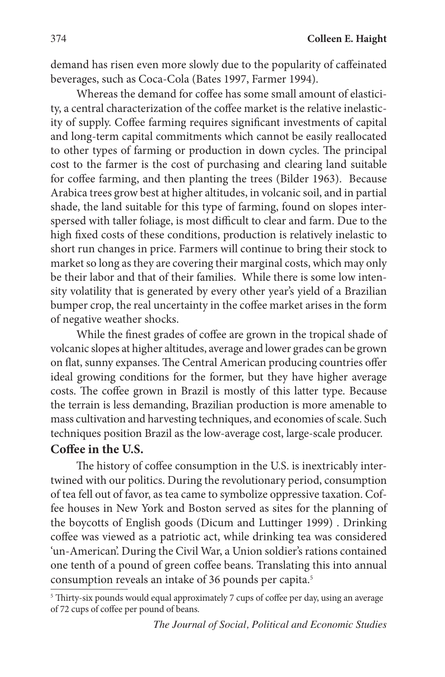demand has risen even more slowly due to the popularity of caffeinated beverages, such as Coca-Cola (Bates 1997, Farmer 1994).

Whereas the demand for coffee has some small amount of elasticity, a central characterization of the coffee market is the relative inelasticity of supply. Coffee farming requires significant investments of capital and long-term capital commitments which cannot be easily reallocated to other types of farming or production in down cycles. The principal cost to the farmer is the cost of purchasing and clearing land suitable for coffee farming, and then planting the trees (Bilder 1963). Because Arabica trees grow best at higher altitudes, in volcanic soil, and in partial shade, the land suitable for this type of farming, found on slopes interspersed with taller foliage, is most difficult to clear and farm. Due to the high fixed costs of these conditions, production is relatively inelastic to short run changes in price. Farmers will continue to bring their stock to market so long as they are covering their marginal costs, which may only be their labor and that of their families. While there is some low intensity volatility that is generated by every other year's yield of a Brazilian bumper crop, the real uncertainty in the coffee market arises in the form of negative weather shocks.

While the finest grades of coffee are grown in the tropical shade of volcanic slopes at higher altitudes, average and lower grades can be grown on flat, sunny expanses. The Central American producing countries offer ideal growing conditions for the former, but they have higher average costs. The coffee grown in Brazil is mostly of this latter type. Because the terrain is less demanding, Brazilian production is more amenable to mass cultivation and harvesting techniques, and economies of scale. Such techniques position Brazil as the low-average cost, large-scale producer.

### **Coffee in the U.S.**

The history of coffee consumption in the U.S. is inextricably intertwined with our politics. During the revolutionary period, consumption of tea fell out of favor, as tea came to symbolize oppressive taxation. Coffee houses in New York and Boston served as sites for the planning of the boycotts of English goods (Dicum and Luttinger 1999) . Drinking coffee was viewed as a patriotic act, while drinking tea was considered 'un-American'. During the Civil War, a Union soldier's rations contained one tenth of a pound of green coffee beans. Translating this into annual consumption reveals an intake of 36 pounds per capita.<sup>5</sup>

<sup>&</sup>lt;sup>5</sup> Thirty-six pounds would equal approximately 7 cups of coffee per day, using an average of 72 cups of coffee per pound of beans.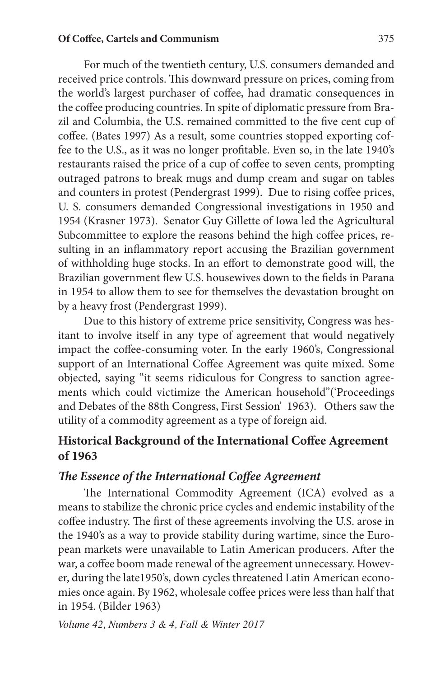For much of the twentieth century, U.S. consumers demanded and received price controls. This downward pressure on prices, coming from the world's largest purchaser of coffee, had dramatic consequences in the coffee producing countries. In spite of diplomatic pressure from Brazil and Columbia, the U.S. remained committed to the five cent cup of coffee. (Bates 1997) As a result, some countries stopped exporting coffee to the U.S., as it was no longer profitable. Even so, in the late 1940's restaurants raised the price of a cup of coffee to seven cents, prompting outraged patrons to break mugs and dump cream and sugar on tables and counters in protest (Pendergrast 1999). Due to rising coffee prices, U. S. consumers demanded Congressional investigations in 1950 and 1954 (Krasner 1973). Senator Guy Gillette of Iowa led the Agricultural Subcommittee to explore the reasons behind the high coffee prices, resulting in an inflammatory report accusing the Brazilian government of withholding huge stocks. In an effort to demonstrate good will, the Brazilian government flew U.S. housewives down to the fields in Parana in 1954 to allow them to see for themselves the devastation brought on by a heavy frost (Pendergrast 1999).

Due to this history of extreme price sensitivity, Congress was hesitant to involve itself in any type of agreement that would negatively impact the coffee-consuming voter. In the early 1960's, Congressional support of an International Coffee Agreement was quite mixed. Some objected, saying "it seems ridiculous for Congress to sanction agreements which could victimize the American household"('Proceedings and Debates of the 88th Congress, First Session' 1963). Others saw the utility of a commodity agreement as a type of foreign aid.

## **Historical Background of the International Coffee Agreement of 1963**

### *The Essence of the International Coffee Agreement*

The International Commodity Agreement (ICA) evolved as a means to stabilize the chronic price cycles and endemic instability of the coffee industry. The first of these agreements involving the U.S. arose in the 1940's as a way to provide stability during wartime, since the European markets were unavailable to Latin American producers. After the war, a coffee boom made renewal of the agreement unnecessary. However, during the late1950's, down cycles threatened Latin American economies once again. By 1962, wholesale coffee prices were less than half that in 1954. (Bilder 1963)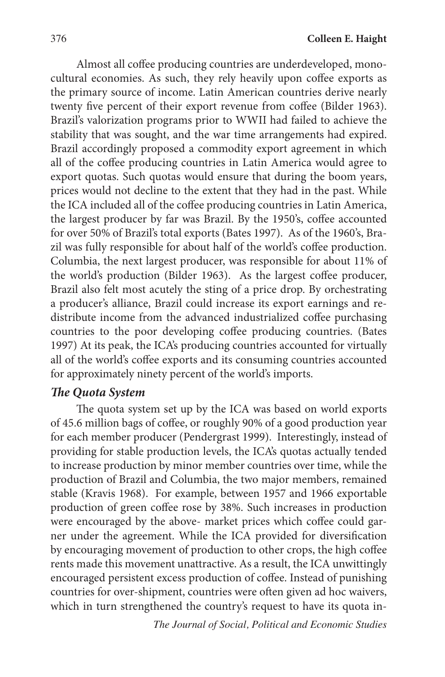Almost all coffee producing countries are underdeveloped, monocultural economies. As such, they rely heavily upon coffee exports as the primary source of income. Latin American countries derive nearly twenty five percent of their export revenue from coffee (Bilder 1963). Brazil's valorization programs prior to WWII had failed to achieve the stability that was sought, and the war time arrangements had expired. Brazil accordingly proposed a commodity export agreement in which all of the coffee producing countries in Latin America would agree to export quotas. Such quotas would ensure that during the boom years, prices would not decline to the extent that they had in the past. While the ICA included all of the coffee producing countries in Latin America, the largest producer by far was Brazil. By the 1950's, coffee accounted for over 50% of Brazil's total exports (Bates 1997). As of the 1960's, Brazil was fully responsible for about half of the world's coffee production. Columbia, the next largest producer, was responsible for about 11% of the world's production (Bilder 1963). As the largest coffee producer, Brazil also felt most acutely the sting of a price drop. By orchestrating a producer's alliance, Brazil could increase its export earnings and redistribute income from the advanced industrialized coffee purchasing countries to the poor developing coffee producing countries. (Bates 1997) At its peak, the ICA's producing countries accounted for virtually all of the world's coffee exports and its consuming countries accounted for approximately ninety percent of the world's imports.

## *The Quota System*

The quota system set up by the ICA was based on world exports of 45.6 million bags of coffee, or roughly 90% of a good production year for each member producer (Pendergrast 1999). Interestingly, instead of providing for stable production levels, the ICA's quotas actually tended to increase production by minor member countries over time, while the production of Brazil and Columbia, the two major members, remained stable (Kravis 1968). For example, between 1957 and 1966 exportable production of green coffee rose by 38%. Such increases in production were encouraged by the above- market prices which coffee could garner under the agreement. While the ICA provided for diversification by encouraging movement of production to other crops, the high coffee rents made this movement unattractive. As a result, the ICA unwittingly encouraged persistent excess production of coffee. Instead of punishing countries for over-shipment, countries were often given ad hoc waivers, which in turn strengthened the country's request to have its quota in-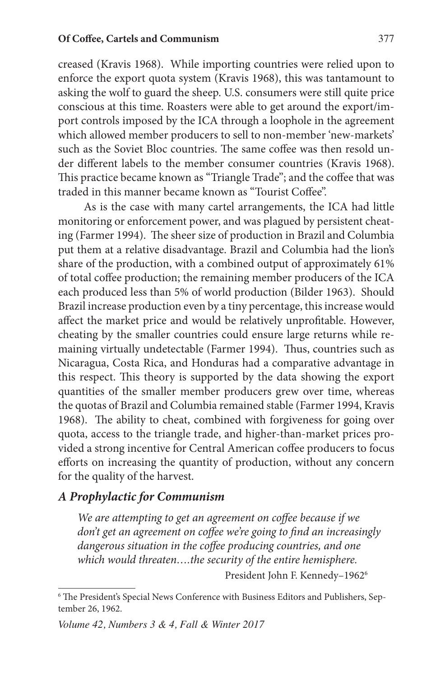creased (Kravis 1968). While importing countries were relied upon to enforce the export quota system (Kravis 1968), this was tantamount to asking the wolf to guard the sheep. U.S. consumers were still quite price conscious at this time. Roasters were able to get around the export/import controls imposed by the ICA through a loophole in the agreement which allowed member producers to sell to non-member 'new-markets' such as the Soviet Bloc countries. The same coffee was then resold under different labels to the member consumer countries (Kravis 1968). This practice became known as "Triangle Trade"; and the coffee that was traded in this manner became known as "Tourist Coffee".

As is the case with many cartel arrangements, the ICA had little monitoring or enforcement power, and was plagued by persistent cheating (Farmer 1994). The sheer size of production in Brazil and Columbia put them at a relative disadvantage. Brazil and Columbia had the lion's share of the production, with a combined output of approximately 61% of total coffee production; the remaining member producers of the ICA each produced less than 5% of world production (Bilder 1963). Should Brazil increase production even by a tiny percentage, this increase would affect the market price and would be relatively unprofitable. However, cheating by the smaller countries could ensure large returns while remaining virtually undetectable (Farmer 1994). Thus, countries such as Nicaragua, Costa Rica, and Honduras had a comparative advantage in this respect. This theory is supported by the data showing the export quantities of the smaller member producers grew over time, whereas the quotas of Brazil and Columbia remained stable (Farmer 1994, Kravis 1968). The ability to cheat, combined with forgiveness for going over quota, access to the triangle trade, and higher-than-market prices provided a strong incentive for Central American coffee producers to focus efforts on increasing the quantity of production, without any concern for the quality of the harvest.

## *A Prophylactic for Communism*

*We are attempting to get an agreement on coffee because if we don't get an agreement on coffee we're going to find an increasingly dangerous situation in the coffee producing countries, and one which would threaten….the security of the entire hemisphere.*

President John F. Kennedy–19626

<sup>6</sup> The President's Special News Conference with Business Editors and Publishers, September 26, 1962.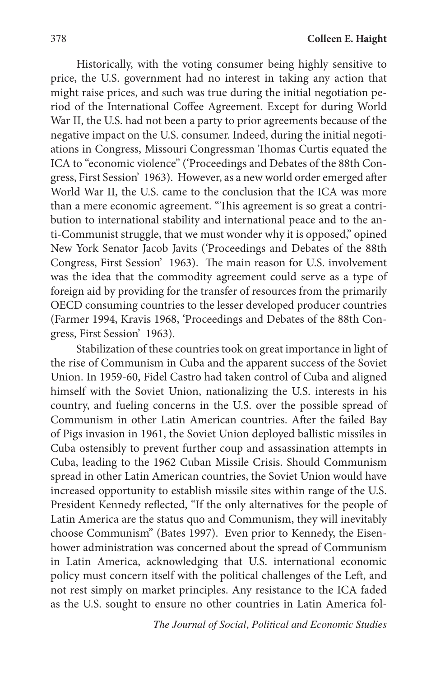Historically, with the voting consumer being highly sensitive to price, the U.S. government had no interest in taking any action that might raise prices, and such was true during the initial negotiation period of the International Coffee Agreement. Except for during World War II, the U.S. had not been a party to prior agreements because of the negative impact on the U.S. consumer. Indeed, during the initial negotiations in Congress, Missouri Congressman Thomas Curtis equated the ICA to "economic violence" ('Proceedings and Debates of the 88th Congress, First Session' 1963). However, as a new world order emerged after World War II, the U.S. came to the conclusion that the ICA was more than a mere economic agreement. "This agreement is so great a contribution to international stability and international peace and to the anti-Communist struggle, that we must wonder why it is opposed," opined New York Senator Jacob Javits ('Proceedings and Debates of the 88th Congress, First Session' 1963). The main reason for U.S. involvement was the idea that the commodity agreement could serve as a type of foreign aid by providing for the transfer of resources from the primarily OECD consuming countries to the lesser developed producer countries (Farmer 1994, Kravis 1968, 'Proceedings and Debates of the 88th Congress, First Session' 1963).

Stabilization of these countries took on great importance in light of the rise of Communism in Cuba and the apparent success of the Soviet Union. In 1959-60, Fidel Castro had taken control of Cuba and aligned himself with the Soviet Union, nationalizing the U.S. interests in his country, and fueling concerns in the U.S. over the possible spread of Communism in other Latin American countries. After the failed Bay of Pigs invasion in 1961, the Soviet Union deployed ballistic missiles in Cuba ostensibly to prevent further coup and assassination attempts in Cuba, leading to the 1962 Cuban Missile Crisis. Should Communism spread in other Latin American countries, the Soviet Union would have increased opportunity to establish missile sites within range of the U.S. President Kennedy reflected, "If the only alternatives for the people of Latin America are the status quo and Communism, they will inevitably choose Communism" (Bates 1997). Even prior to Kennedy, the Eisenhower administration was concerned about the spread of Communism in Latin America, acknowledging that U.S. international economic policy must concern itself with the political challenges of the Left, and not rest simply on market principles. Any resistance to the ICA faded as the U.S. sought to ensure no other countries in Latin America fol-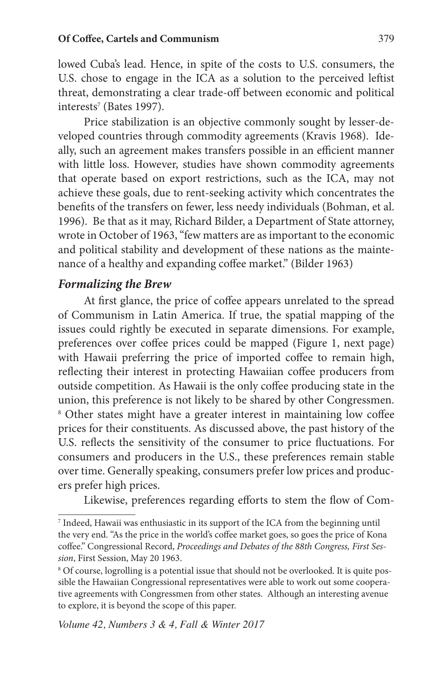lowed Cuba's lead. Hence, in spite of the costs to U.S. consumers, the U.S. chose to engage in the ICA as a solution to the perceived leftist threat, demonstrating a clear trade-off between economic and political interests<sup>7</sup> (Bates 1997).

Price stabilization is an objective commonly sought by lesser-developed countries through commodity agreements (Kravis 1968). Ideally, such an agreement makes transfers possible in an efficient manner with little loss. However, studies have shown commodity agreements that operate based on export restrictions, such as the ICA, may not achieve these goals, due to rent-seeking activity which concentrates the benefits of the transfers on fewer, less needy individuals (Bohman, et al. 1996). Be that as it may, Richard Bilder, a Department of State attorney, wrote in October of 1963, "few matters are as important to the economic and political stability and development of these nations as the maintenance of a healthy and expanding coffee market." (Bilder 1963)

### *Formalizing the Brew*

At first glance, the price of coffee appears unrelated to the spread of Communism in Latin America. If true, the spatial mapping of the issues could rightly be executed in separate dimensions. For example, preferences over coffee prices could be mapped (Figure 1, next page) with Hawaii preferring the price of imported coffee to remain high, reflecting their interest in protecting Hawaiian coffee producers from outside competition. As Hawaii is the only coffee producing state in the union, this preference is not likely to be shared by other Congressmen. <sup>8</sup> Other states might have a greater interest in maintaining low coffee prices for their constituents. As discussed above, the past history of the U.S. reflects the sensitivity of the consumer to price fluctuations. For consumers and producers in the U.S., these preferences remain stable over time. Generally speaking, consumers prefer low prices and producers prefer high prices.

Likewise, preferences regarding efforts to stem the flow of Com-

<sup>7</sup> Indeed, Hawaii was enthusiastic in its support of the ICA from the beginning until the very end. "As the price in the world's coffee market goes, so goes the price of Kona coffee." Congressional Record, *Proceedings and Debates of the 88th Congress, First Session*, First Session, May 20 1963.

<sup>&</sup>lt;sup>8</sup> Of course, logrolling is a potential issue that should not be overlooked. It is quite possible the Hawaiian Congressional representatives were able to work out some cooperative agreements with Congressmen from other states. Although an interesting avenue to explore, it is beyond the scope of this paper.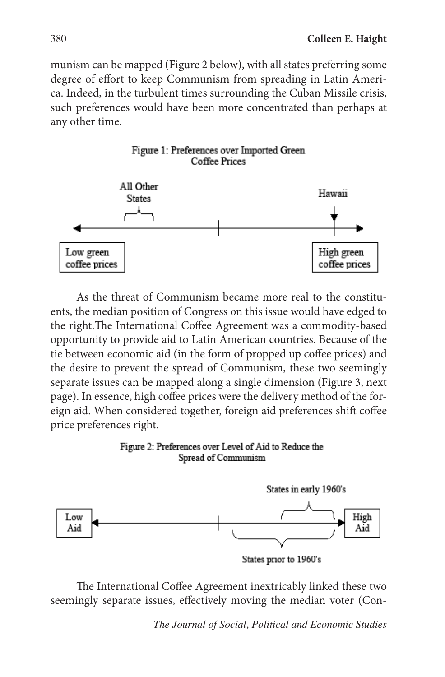munism can be mapped (Figure 2 below), with all states preferring some degree of effort to keep Communism from spreading in Latin America. Indeed, in the turbulent times surrounding the Cuban Missile crisis, such preferences would have been more concentrated than perhaps at any other time.



As the threat of Communism became more real to the constituents, the median position of Congress on this issue would have edged to the right.The International Coffee Agreement was a commodity-based opportunity to provide aid to Latin American countries. Because of the tie between economic aid (in the form of propped up coffee prices) and the desire to prevent the spread of Communism, these two seemingly separate issues can be mapped along a single dimension (Figure 3, next page). In essence, high coffee prices were the delivery method of the foreign aid. When considered together, foreign aid preferences shift coffee price preferences right.

#### Figure 2: Preferences over Level of Aid to Reduce the Spread of Communism



The International Coffee Agreement inextricably linked these two seemingly separate issues, effectively moving the median voter (Con-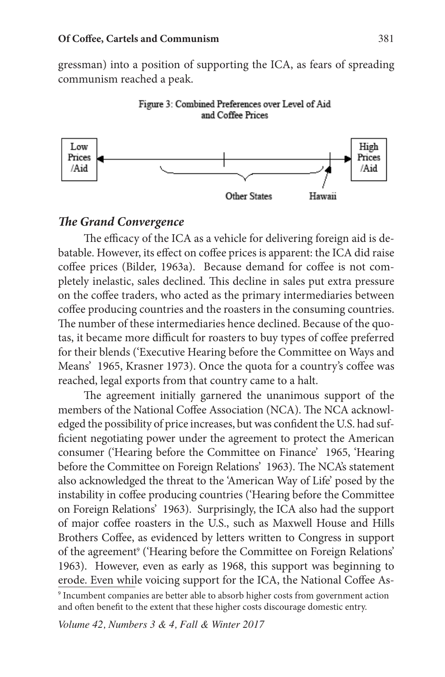gressman) into a position of supporting the ICA, as fears of spreading communism reached a peak.





### *The Grand Convergence*

The efficacy of the ICA as a vehicle for delivering foreign aid is debatable. However, its effect on coffee prices is apparent: the ICA did raise coffee prices (Bilder, 1963a). Because demand for coffee is not completely inelastic, sales declined. This decline in sales put extra pressure on the coffee traders, who acted as the primary intermediaries between coffee producing countries and the roasters in the consuming countries. The number of these intermediaries hence declined. Because of the quotas, it became more difficult for roasters to buy types of coffee preferred for their blends ('Executive Hearing before the Committee on Ways and Means' 1965, Krasner 1973). Once the quota for a country's coffee was reached, legal exports from that country came to a halt.

The agreement initially garnered the unanimous support of the members of the National Coffee Association (NCA). The NCA acknowledged the possibility of price increases, but was confident the U.S. had sufficient negotiating power under the agreement to protect the American consumer ('Hearing before the Committee on Finance' 1965, 'Hearing before the Committee on Foreign Relations' 1963). The NCA's statement also acknowledged the threat to the 'American Way of Life' posed by the instability in coffee producing countries ('Hearing before the Committee on Foreign Relations' 1963). Surprisingly, the ICA also had the support of major coffee roasters in the U.S., such as Maxwell House and Hills Brothers Coffee, as evidenced by letters written to Congress in support of the agreement<sup>9</sup> ('Hearing before the Committee on Foreign Relations' 1963). However, even as early as 1968, this support was beginning to erode. Even while voicing support for the ICA, the National Coffee As-

<sup>9</sup> Incumbent companies are better able to absorb higher costs from government action and often benefit to the extent that these higher costs discourage domestic entry.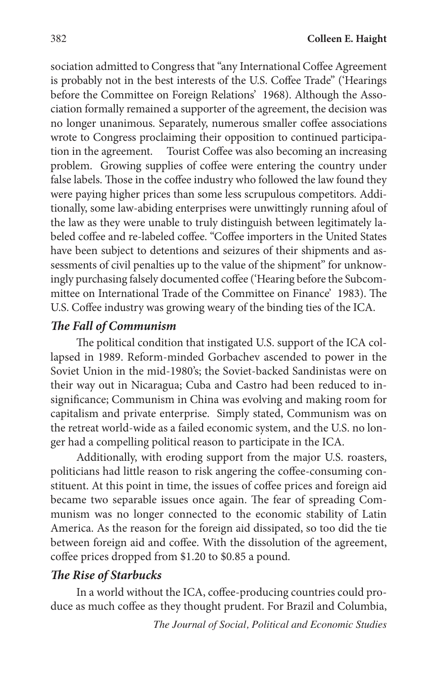sociation admitted to Congress that "any International Coffee Agreement is probably not in the best interests of the U.S. Coffee Trade" ('Hearings before the Committee on Foreign Relations' 1968). Although the Association formally remained a supporter of the agreement, the decision was no longer unanimous. Separately, numerous smaller coffee associations wrote to Congress proclaiming their opposition to continued participation in the agreement. Tourist Coffee was also becoming an increasing problem. Growing supplies of coffee were entering the country under false labels. Those in the coffee industry who followed the law found they were paying higher prices than some less scrupulous competitors. Additionally, some law-abiding enterprises were unwittingly running afoul of the law as they were unable to truly distinguish between legitimately labeled coffee and re-labeled coffee. "Coffee importers in the United States have been subject to detentions and seizures of their shipments and assessments of civil penalties up to the value of the shipment" for unknowingly purchasing falsely documented coffee ('Hearing before the Subcommittee on International Trade of the Committee on Finance' 1983). The U.S. Coffee industry was growing weary of the binding ties of the ICA.

## *The Fall of Communism*

The political condition that instigated U.S. support of the ICA collapsed in 1989. Reform-minded Gorbachev ascended to power in the Soviet Union in the mid-1980's; the Soviet-backed Sandinistas were on their way out in Nicaragua; Cuba and Castro had been reduced to insignificance; Communism in China was evolving and making room for capitalism and private enterprise. Simply stated, Communism was on the retreat world-wide as a failed economic system, and the U.S. no longer had a compelling political reason to participate in the ICA.

Additionally, with eroding support from the major U.S. roasters, politicians had little reason to risk angering the coffee-consuming constituent. At this point in time, the issues of coffee prices and foreign aid became two separable issues once again. The fear of spreading Communism was no longer connected to the economic stability of Latin America. As the reason for the foreign aid dissipated, so too did the tie between foreign aid and coffee. With the dissolution of the agreement, coffee prices dropped from \$1.20 to \$0.85 a pound.

## *The Rise of Starbucks*

In a world without the ICA, coffee-producing countries could produce as much coffee as they thought prudent. For Brazil and Columbia,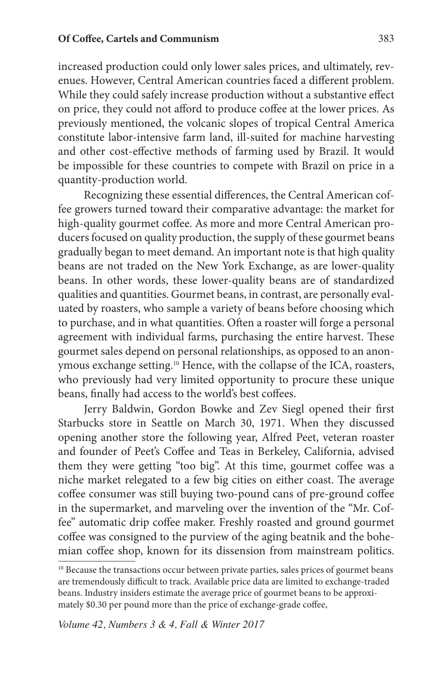increased production could only lower sales prices, and ultimately, revenues. However, Central American countries faced a different problem. While they could safely increase production without a substantive effect on price, they could not afford to produce coffee at the lower prices. As previously mentioned, the volcanic slopes of tropical Central America constitute labor-intensive farm land, ill-suited for machine harvesting and other cost-effective methods of farming used by Brazil. It would be impossible for these countries to compete with Brazil on price in a quantity-production world.

Recognizing these essential differences, the Central American coffee growers turned toward their comparative advantage: the market for high-quality gourmet coffee. As more and more Central American producers focused on quality production, the supply of these gourmet beans gradually began to meet demand. An important note is that high quality beans are not traded on the New York Exchange, as are lower-quality beans. In other words, these lower-quality beans are of standardized qualities and quantities. Gourmet beans, in contrast, are personally evaluated by roasters, who sample a variety of beans before choosing which to purchase, and in what quantities. Often a roaster will forge a personal agreement with individual farms, purchasing the entire harvest. These gourmet sales depend on personal relationships, as opposed to an anonymous exchange setting.10 Hence, with the collapse of the ICA, roasters, who previously had very limited opportunity to procure these unique beans, finally had access to the world's best coffees.

Jerry Baldwin, Gordon Bowke and Zev Siegl opened their first Starbucks store in Seattle on March 30, 1971. When they discussed opening another store the following year, Alfred Peet, veteran roaster and founder of Peet's Coffee and Teas in Berkeley, California, advised them they were getting "too big". At this time, gourmet coffee was a niche market relegated to a few big cities on either coast. The average coffee consumer was still buying two-pound cans of pre-ground coffee in the supermarket, and marveling over the invention of the "Mr. Coffee" automatic drip coffee maker. Freshly roasted and ground gourmet coffee was consigned to the purview of the aging beatnik and the bohemian coffee shop, known for its dissension from mainstream politics.

<sup>&</sup>lt;sup>10</sup> Because the transactions occur between private parties, sales prices of gourmet beans are tremendously difficult to track. Available price data are limited to exchange-traded beans. Industry insiders estimate the average price of gourmet beans to be approximately \$0.30 per pound more than the price of exchange-grade coffee,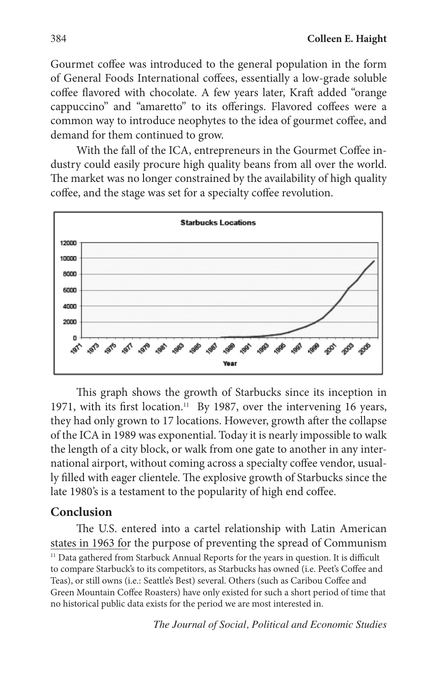Gourmet coffee was introduced to the general population in the form of General Foods International coffees, essentially a low-grade soluble coffee flavored with chocolate. A few years later, Kraft added "orange cappuccino" and "amaretto" to its offerings. Flavored coffees were a common way to introduce neophytes to the idea of gourmet coffee, and demand for them continued to grow.

With the fall of the ICA, entrepreneurs in the Gourmet Coffee industry could easily procure high quality beans from all over the world. The market was no longer constrained by the availability of high quality coffee, and the stage was set for a specialty coffee revolution.



This graph shows the growth of Starbucks since its inception in 1971, with its first location.<sup>11</sup> By 1987, over the intervening 16 years, they had only grown to 17 locations. However, growth after the collapse of the ICA in 1989 was exponential. Today it is nearly impossible to walk the length of a city block, or walk from one gate to another in any international airport, without coming across a specialty coffee vendor, usually filled with eager clientele. The explosive growth of Starbucks since the late 1980's is a testament to the popularity of high end coffee.

## **Conclusion**

The U.S. entered into a cartel relationship with Latin American states in 1963 for the purpose of preventing the spread of Communism <sup>11</sup> Data gathered from Starbuck Annual Reports for the years in question. It is difficult to compare Starbuck's to its competitors, as Starbucks has owned (i.e. Peet's Coffee and Teas), or still owns (i.e.: Seattle's Best) several. Others (such as Caribou Coffee and Green Mountain Coffee Roasters) have only existed for such a short period of time that no historical public data exists for the period we are most interested in.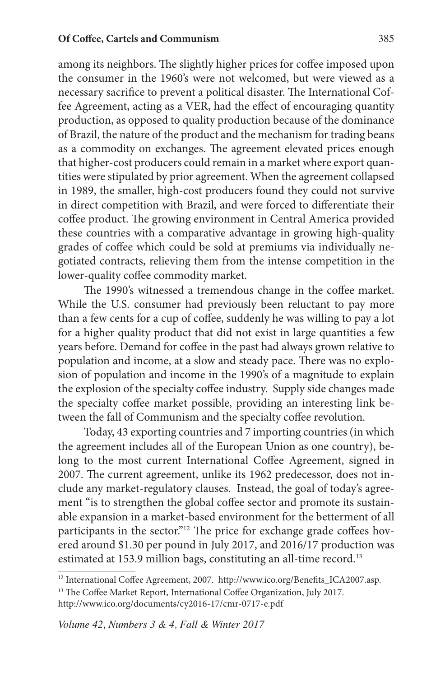among its neighbors. The slightly higher prices for coffee imposed upon the consumer in the 1960's were not welcomed, but were viewed as a necessary sacrifice to prevent a political disaster. The International Coffee Agreement, acting as a VER, had the effect of encouraging quantity production, as opposed to quality production because of the dominance of Brazil, the nature of the product and the mechanism for trading beans as a commodity on exchanges. The agreement elevated prices enough that higher-cost producers could remain in a market where export quantities were stipulated by prior agreement. When the agreement collapsed in 1989, the smaller, high-cost producers found they could not survive in direct competition with Brazil, and were forced to differentiate their coffee product. The growing environment in Central America provided these countries with a comparative advantage in growing high-quality grades of coffee which could be sold at premiums via individually negotiated contracts, relieving them from the intense competition in the lower-quality coffee commodity market.

The 1990's witnessed a tremendous change in the coffee market. While the U.S. consumer had previously been reluctant to pay more than a few cents for a cup of coffee, suddenly he was willing to pay a lot for a higher quality product that did not exist in large quantities a few years before. Demand for coffee in the past had always grown relative to population and income, at a slow and steady pace. There was no explosion of population and income in the 1990's of a magnitude to explain the explosion of the specialty coffee industry. Supply side changes made the specialty coffee market possible, providing an interesting link between the fall of Communism and the specialty coffee revolution.

Today, 43 exporting countries and 7 importing countries (in which the agreement includes all of the European Union as one country), belong to the most current International Coffee Agreement, signed in 2007. The current agreement, unlike its 1962 predecessor, does not include any market-regulatory clauses. Instead, the goal of today's agreement "is to strengthen the global coffee sector and promote its sustainable expansion in a market-based environment for the betterment of all participants in the sector."<sup>12</sup> The price for exchange grade coffees hovered around \$1.30 per pound in July 2017, and 2016/17 production was estimated at 153.9 million bags, constituting an all-time record.<sup>13</sup>

<sup>&</sup>lt;sup>12</sup> International Coffee Agreement, 2007. http://www.ico.org/Benefits\_ICA2007.asp.

<sup>&</sup>lt;sup>13</sup> The Coffee Market Report, International Coffee Organization, July 2017.

http://www.ico.org/documents/cy2016-17/cmr-0717-e.pdf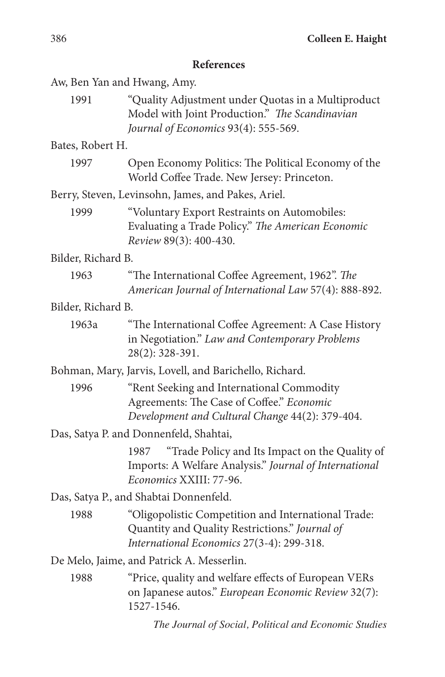### **References**

Aw, Ben Yan and Hwang, Amy.

1991 "Quality Adjustment under Quotas in a Multiproduct Model with Joint Production." *The Scandinavian Journal of Economics* 93(4): 555-569.

Bates, Robert H.

| 1997 | Open Economy Politics: The Political Economy of the |
|------|-----------------------------------------------------|
|      | World Coffee Trade. New Jersey: Princeton.          |

Berry, Steven, Levinsohn, James, and Pakes, Ariel.

1999 "Voluntary Export Restraints on Automobiles: Evaluating a Trade Policy." *The American Economic Review* 89(3): 400-430.

Bilder, Richard B.

1963 "The International Coffee Agreement, 1962". *The American Journal of International Law* 57(4): 888-892.

Bilder, Richard B.

1963a "The International Coffee Agreement: A Case History in Negotiation." *Law and Contemporary Problems* 28(2): 328-391.

Bohman, Mary, Jarvis, Lovell, and Barichello, Richard.

1996 "Rent Seeking and International Commodity Agreements: The Case of Coffee." *Economic Development and Cultural Change* 44(2): 379-404.

Das, Satya P. and Donnenfeld, Shahtai,

1987 "Trade Policy and Its Impact on the Quality of Imports: A Welfare Analysis." *Journal of International Economics* XXIII: 77-96.

Das, Satya P., and Shabtai Donnenfeld.

1988 "Oligopolistic Competition and International Trade: Quantity and Quality Restrictions." *Journal of International Economics* 27(3-4): 299-318.

De Melo, Jaime, and Patrick A. Messerlin.

1988 "Price, quality and welfare effects of European VERs on Japanese autos." *European Economic Review* 32(7): 1527-1546.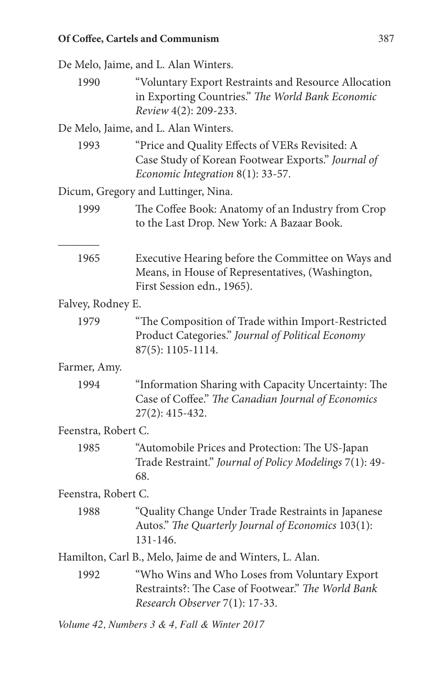De Melo, Jaime, and L. Alan Winters. 1990 "Voluntary Export Restraints and Resource Allocation in Exporting Countries." *The World Bank Economic Review* 4(2): 209-233. De Melo, Jaime, and L. Alan Winters. 1993 "Price and Quality Effects of VERs Revisited: A Case Study of Korean Footwear Exports." *Journal of Economic Integration* 8(1): 33-57. Dicum, Gregory and Luttinger, Nina. 1999 The Coffee Book: Anatomy of an Industry from Crop to the Last Drop. New York: A Bazaar Book. \_\_\_\_\_\_\_ 1965 Executive Hearing before the Committee on Ways and Means, in House of Representatives, (Washington, First Session edn., 1965). Falvey, Rodney E. 1979 "The Composition of Trade within Import-Restricted Product Categories." *Journal of Political Economy* 87(5): 1105-1114. Farmer, Amy. 1994 "Information Sharing with Capacity Uncertainty: The Case of Coffee." *The Canadian Journal of Economics* 27(2): 415-432. Feenstra, Robert C. 1985 "Automobile Prices and Protection: The US-Japan Trade Restraint." *Journal of Policy Modelings* 7(1): 49- 68. Feenstra, Robert C. 1988 "Quality Change Under Trade Restraints in Japanese Autos." *The Quarterly Journal of Economics* 103(1): 131-146. Hamilton, Carl B., Melo, Jaime de and Winters, L. Alan. 1992 "Who Wins and Who Loses from Voluntary Export Restraints?: The Case of Footwear." *The World Bank Research Observer* 7(1): 17-33.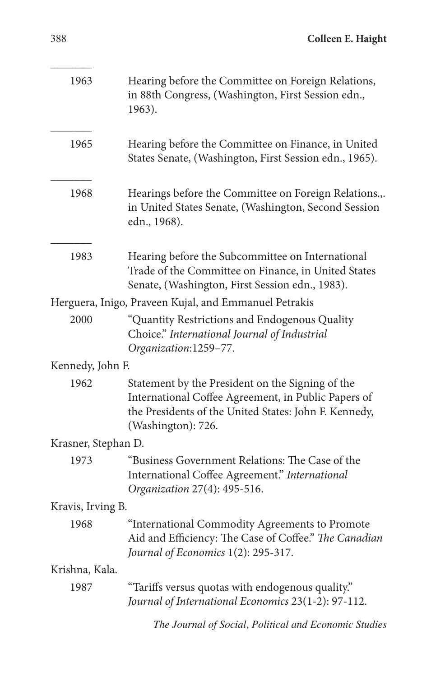| 1963                | Hearing before the Committee on Foreign Relations,<br>in 88th Congress, (Washington, First Session edn.,<br>1963).                                                                     |
|---------------------|----------------------------------------------------------------------------------------------------------------------------------------------------------------------------------------|
| 1965                | Hearing before the Committee on Finance, in United<br>States Senate, (Washington, First Session edn., 1965).                                                                           |
| 1968                | Hearings before the Committee on Foreign Relations.,.<br>in United States Senate, (Washington, Second Session<br>edn., 1968).                                                          |
| 1983                | Hearing before the Subcommittee on International<br>Trade of the Committee on Finance, in United States<br>Senate, (Washington, First Session edn., 1983).                             |
|                     | Herguera, Inigo, Praveen Kujal, and Emmanuel Petrakis                                                                                                                                  |
| 2000                | "Quantity Restrictions and Endogenous Quality<br>Choice." International Journal of Industrial<br>Organization:1259-77.                                                                 |
| Kennedy, John F.    |                                                                                                                                                                                        |
| 1962                | Statement by the President on the Signing of the<br>International Coffee Agreement, in Public Papers of<br>the Presidents of the United States: John F. Kennedy,<br>(Washington): 726. |
| Krasner, Stephan D. |                                                                                                                                                                                        |
| 1973                | "Business Government Relations: The Case of the<br>International Coffee Agreement." International<br>Organization 27(4): 495-516.                                                      |
| Kravis, Irving B.   |                                                                                                                                                                                        |
| 1968                | "International Commodity Agreements to Promote<br>Aid and Efficiency: The Case of Coffee." The Canadian<br>Journal of Economics 1(2): 295-317.                                         |
| Krishna, Kala.      |                                                                                                                                                                                        |
| 1987                | "Tariffs versus quotas with endogenous quality."<br>Journal of International Economics 23(1-2): 97-112.                                                                                |
|                     | The Journal of Social, Political and Economic Studies                                                                                                                                  |

 $\overline{\phantom{a}}$